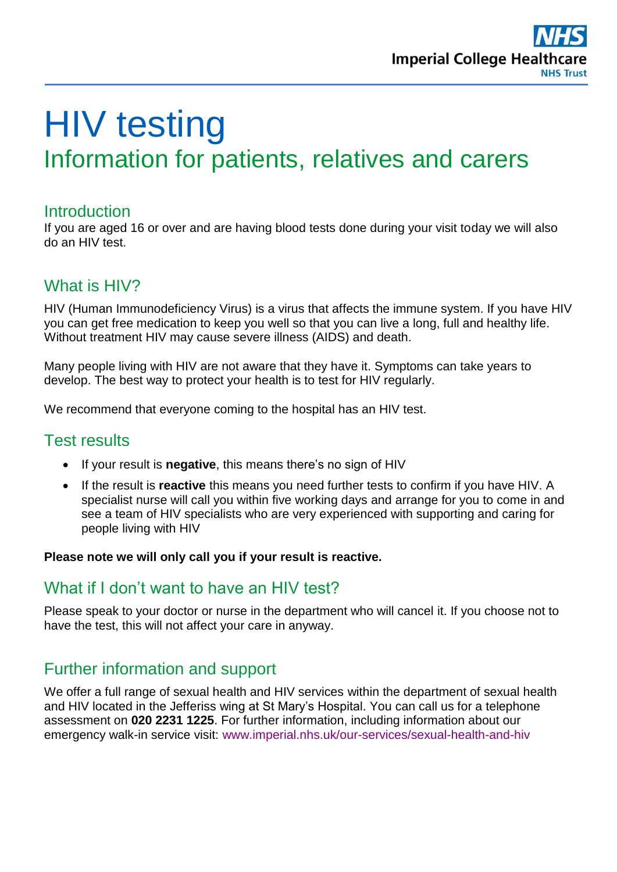

# HIV testing Information for patients, relatives and carers

#### **Introduction**

If you are aged 16 or over and are having blood tests done during your visit today we will also do an HIV test.

### What is HIV?

HIV (Human Immunodeficiency Virus) is a virus that affects the immune system. If you have HIV you can get free medication to keep you well so that you can live a long, full and healthy life. Without treatment HIV may cause severe illness (AIDS) and death.

Many people living with HIV are not aware that they have it. Symptoms can take years to develop. The best way to protect your health is to test for HIV regularly.

We recommend that everyone coming to the hospital has an HIV test.

### Test results

- If your result is **negative**, this means there's no sign of HIV
- If the result is **reactive** this means you need further tests to confirm if you have HIV. A specialist nurse will call you within five working days and arrange for you to come in and see a team of HIV specialists who are very experienced with supporting and caring for people living with HIV

#### **Please note we will only call you if your result is reactive.**

### What if I don't want to have an HIV test?

Please speak to your doctor or nurse in the department who will cancel it. If you choose not to have the test, this will not affect your care in anyway.

### Further information and support

We offer a full range of sexual health and HIV services within the department of sexual health and HIV located in the Jefferiss wing at St Mary's Hospital. You can call us for a telephone assessment on **020 2231 1225**. For further information, including information about our emergency walk-in service visit: [www.imperial.nhs.uk/our-services/sexual-health-and-hiv](http://www.imperial.nhs.uk/our-services/sexual-health-and-hiv)